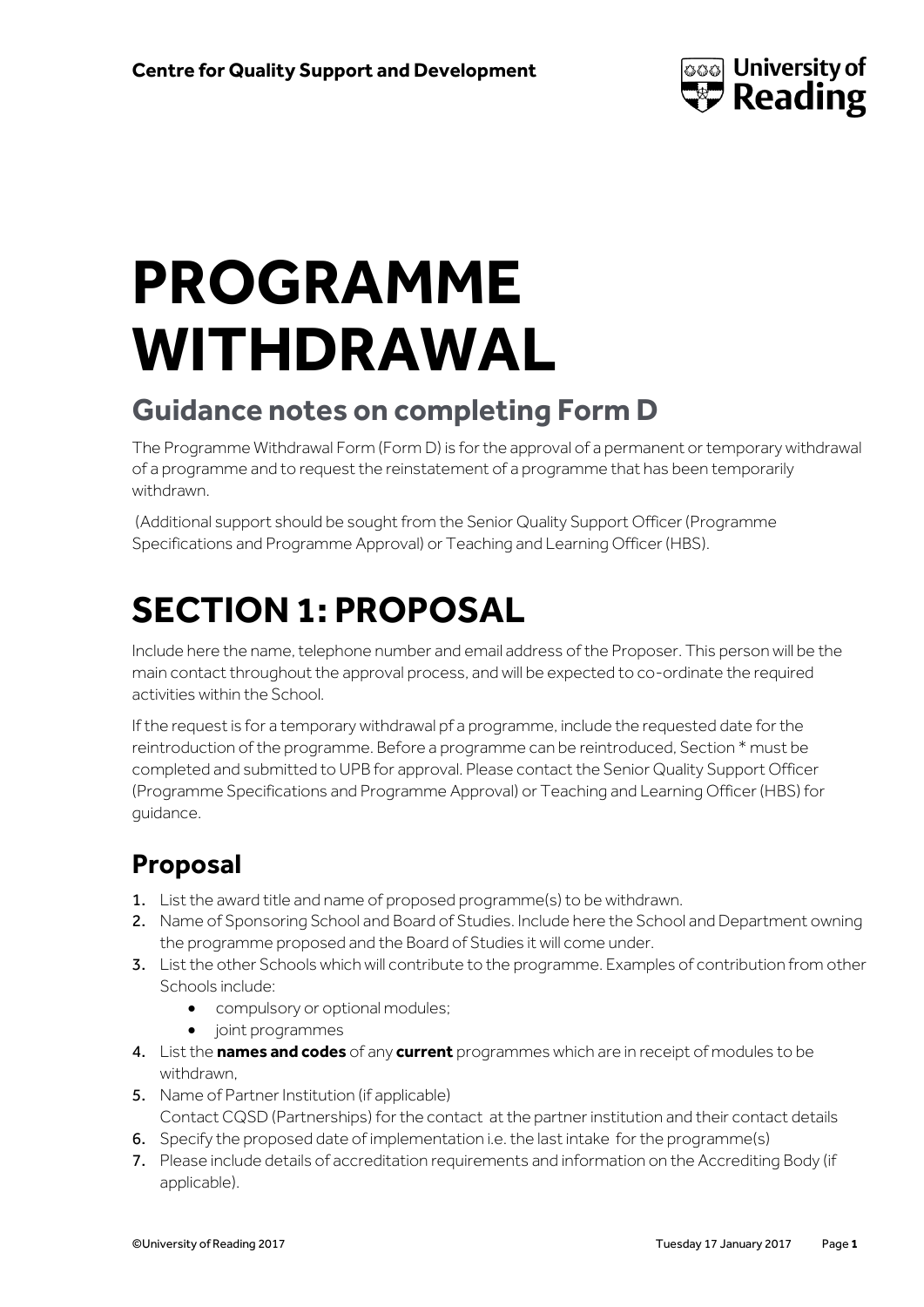

# **PROGRAMME WITHDRAWAL**

### **Guidance notes on completing Form D**

The Programme Withdrawal Form (Form D) is for the approval of a permanent or temporary withdrawal of a programme and to request the reinstatement of a programme that has been temporarily withdrawn.

(Additional support should be sought from the Senior Quality Support Officer (Programme Specifications and Programme Approval) or Teaching and Learning Officer (HBS).

# **SECTION 1: PROPOSAL**

Include here the name, telephone number and email address of the Proposer. This person will be the main contact throughout the approval process, and will be expected to co-ordinate the required activities within the School.

If the request is for a temporary withdrawal pf a programme, include the requested date for the reintroduction of the programme. Before a programme can be reintroduced, Section \* must be completed and submitted to UPB for approval. Please contact the Senior Quality Support Officer (Programme Specifications and Programme Approval) or Teaching and Learning Officer (HBS) for guidance.

### **Proposal**

- 1. List the award title and name of proposed programme(s) to be withdrawn.
- 2. Name of Sponsoring School and Board of Studies. Include here the School and Department owning the programme proposed and the Board of Studies it will come under.
- 3. List the other Schools which will contribute to the programme. Examples of contribution from other Schools include:
	- **•** compulsory or optional modules;
	- joint programmes
- 4. List the **names and codes** of any **current** programmes which are in receipt of modules to be withdrawn,
- 5. Name of Partner Institution (if applicable) Contact CQSD (Partnerships) for the contact at the partner institution and their contact details
- 6. Specify the proposed date of implementation i.e. the last intake for the programme(s)
- 7. Please include details of accreditation requirements and information on the Accrediting Body (if applicable).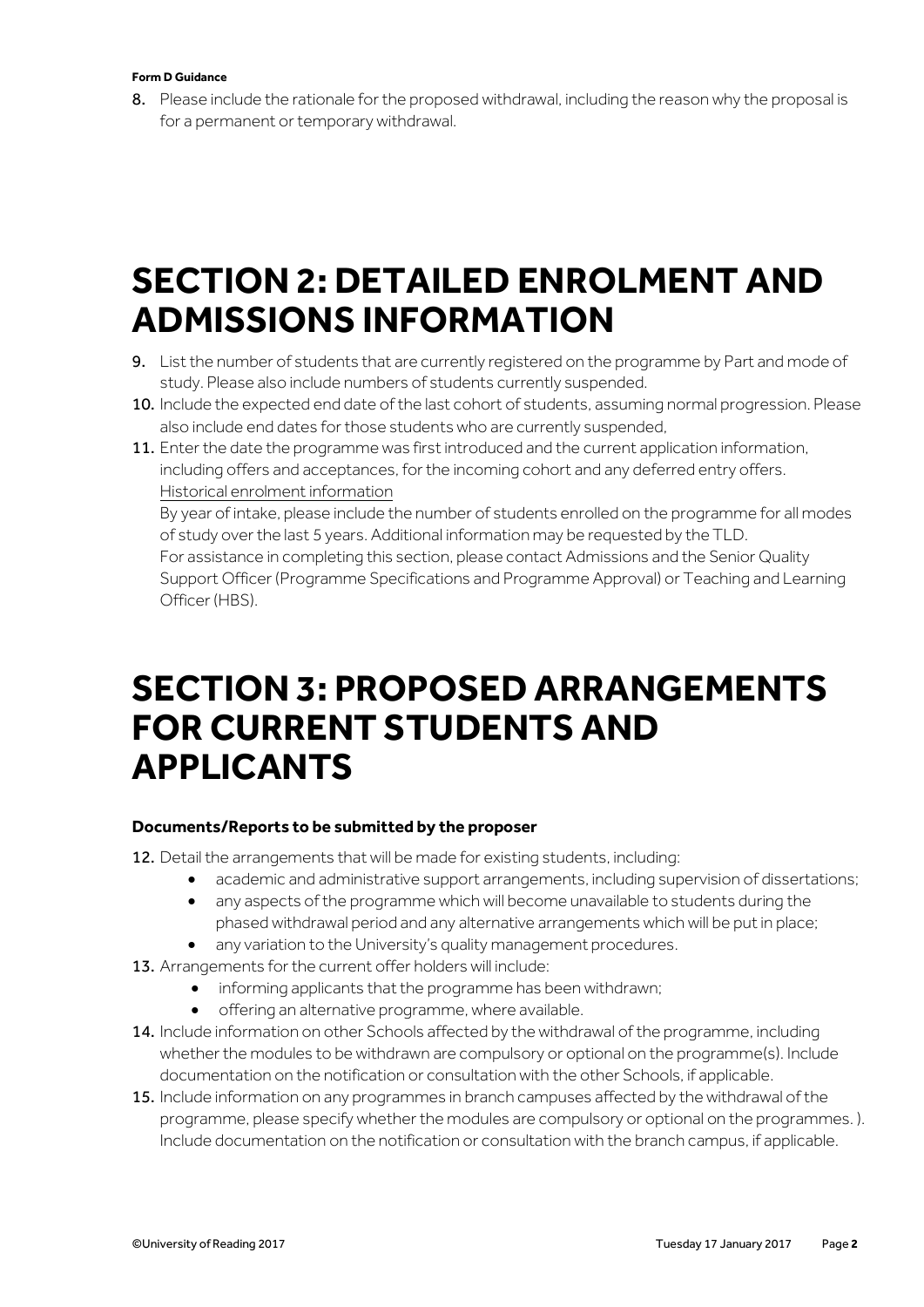#### **Form D Guidance**

8. Please include the rationale for the proposed withdrawal, including the reason why the proposal is for a permanent or temporary withdrawal.

### **SECTION 2: DETAILED ENROLMENT AND ADMISSIONS INFORMATION**

- 9. List the number of students that are currently registered on the programme by Part and mode of study. Please also include numbers of students currently suspended.
- 10. Include the expected end date of the last cohort of students, assuming normal progression. Please also include end dates for those students who are currently suspended,
- 11. Enter the date the programme was first introduced and the current application information, including offers and acceptances, for the incoming cohort and any deferred entry offers. Historical enrolment information

By year of intake, please include the number of students enrolled on the programme for all modes of study over the last 5 years. Additional information may be requested by the TLD. For assistance in completing this section, please contact Admissions and the Senior Quality Support Officer (Programme Specifications and Programme Approval) or Teaching and Learning Officer (HBS).

### **SECTION 3: PROPOSED ARRANGEMENTS FOR CURRENT STUDENTS AND APPLICANTS**

#### **Documents/Reports to be submitted by the proposer**

12. Detail the arrangements that will be made for existing students, including:

- academic and administrative support arrangements, including supervision of dissertations;
- any aspects of the programme which will become unavailable to students during the phased withdrawal period and any alternative arrangements which will be put in place;
- any variation to the University's quality management procedures.
- 13. Arrangements for the current offer holders will include:
	- informing applicants that the programme has been withdrawn;
	- offering an alternative programme, where available.
- 14. Include information on other Schools affected by the withdrawal of the programme, including whether the modules to be withdrawn are compulsory or optional on the programme(s). Include documentation on the notification or consultation with the other Schools, if applicable.
- 15. Include information on any programmes in branch campuses affected by the withdrawal of the programme, please specify whether the modules are compulsory or optional on the programmes. ). Include documentation on the notification or consultation with the branch campus, if applicable.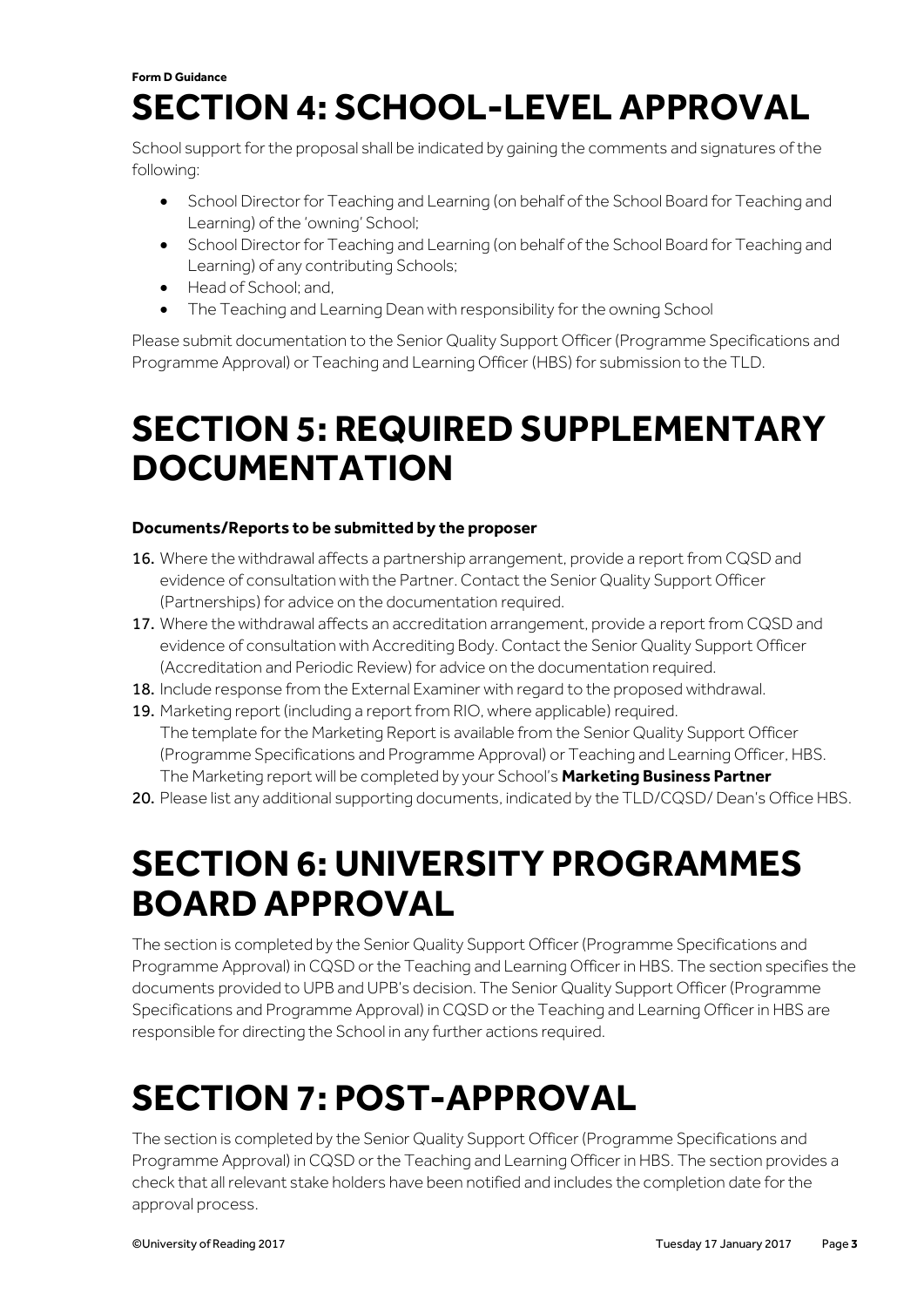#### **Form D Guidance SECTION 4: SCHOOL-LEVEL APPROVAL**

School support for the proposal shall be indicated by gaining the comments and signatures of the following:

- **•** School Director for Teaching and Learning (on behalf of the School Board for Teaching and Learning) of the 'owning' School;
- **•** School Director for Teaching and Learning (on behalf of the School Board for Teaching and Learning) of any contributing Schools;
- Head of School; and,
- The Teaching and Learning Dean with responsibility for the owning School

Please submit documentation to the Senior Quality Support Officer (Programme Specifications and Programme Approval) or Teaching and Learning Officer (HBS) for submission to the TLD.

### **SECTION 5: REQUIRED SUPPLEMENTARY DOCUMENTATION**

#### **Documents/Reports to be submitted by the proposer**

- 16. Where the withdrawal affects a partnership arrangement, provide a report from CQSD and evidence of consultation with the Partner. Contact the Senior Quality Support Officer (Partnerships) for advice on the documentation required.
- 17. Where the withdrawal affects an accreditation arrangement, provide a report from CQSD and evidence of consultation with Accrediting Body. Contact the Senior Quality Support Officer (Accreditation and Periodic Review) for advice on the documentation required.
- 18. Include response from the External Examiner with regard to the proposed withdrawal.
- 19. Marketing report (including a report from RIO, where applicable) required. The template for the Marketing Report is available from the Senior Quality Support Officer (Programme Specifications and Programme Approval) or Teaching and Learning Officer, HBS. The Marketing report will be completed by your School's **Marketing Business Partner**
- 20. Please list any additional supporting documents, indicated by the TLD/CQSD/ Dean's Office HBS.

### **SECTION 6: UNIVERSITY PROGRAMMES BOARD APPROVAL**

The section is completed by the Senior Quality Support Officer (Programme Specifications and Programme Approval) in CQSD or the Teaching and Learning Officer in HBS. The section specifies the documents provided to UPB and UPB's decision. The Senior Quality Support Officer (Programme Specifications and Programme Approval) in CQSD or the Teaching and Learning Officer in HBS are responsible for directing the School in any further actions required.

## **SECTION 7: POST-APPROVAL**

The section is completed by the Senior Quality Support Officer (Programme Specifications and Programme Approval) in CQSD or the Teaching and Learning Officer in HBS. The section provides a check that all relevant stake holders have been notified and includes the completion date for the approval process.